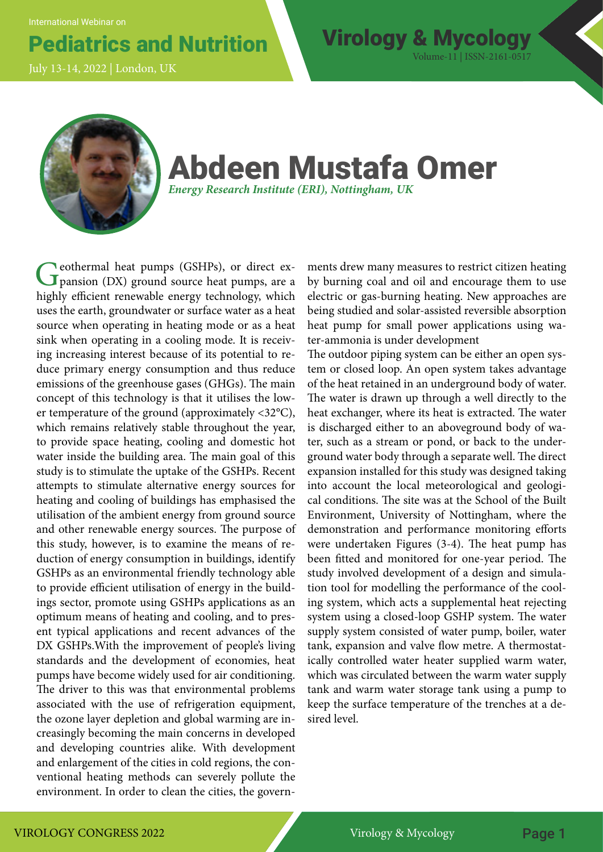International Webinar on

# Pediatrics and Nutrition Virology & Mycology

July 13-14, 2022 | London, UK





## Abdeen Mustafa Omer *Energy Research Institute (ERI), Nottingham, UK*

Geothermal heat pumps (GSHPs), or direct expansion (DX) ground source heat pumps, are a highly efficient renewable energy technology, which uses the earth, groundwater or surface water as a heat source when operating in heating mode or as a heat sink when operating in a cooling mode. It is receiving increasing interest because of its potential to reduce primary energy consumption and thus reduce emissions of the greenhouse gases (GHGs). The main concept of this technology is that it utilises the lower temperature of the ground (approximately <32°C), which remains relatively stable throughout the year, to provide space heating, cooling and domestic hot water inside the building area. The main goal of this study is to stimulate the uptake of the GSHPs. Recent attempts to stimulate alternative energy sources for heating and cooling of buildings has emphasised the utilisation of the ambient energy from ground source and other renewable energy sources. The purpose of this study, however, is to examine the means of reduction of energy consumption in buildings, identify GSHPs as an environmental friendly technology able to provide efficient utilisation of energy in the buildings sector, promote using GSHPs applications as an optimum means of heating and cooling, and to present typical applications and recent advances of the DX GSHPs.With the improvement of people's living standards and the development of economies, heat pumps have become widely used for air conditioning. The driver to this was that environmental problems associated with the use of refrigeration equipment, the ozone layer depletion and global warming are increasingly becoming the main concerns in developed and developing countries alike. With development and enlargement of the cities in cold regions, the conventional heating methods can severely pollute the environment. In order to clean the cities, the govern-

ments drew many measures to restrict citizen heating by burning coal and oil and encourage them to use electric or gas-burning heating. New approaches are being studied and solar-assisted reversible absorption heat pump for small power applications using water-ammonia is under development

The outdoor piping system can be either an open system or closed loop. An open system takes advantage of the heat retained in an underground body of water. The water is drawn up through a well directly to the heat exchanger, where its heat is extracted. The water is discharged either to an aboveground body of water, such as a stream or pond, or back to the underground water body through a separate well. The direct expansion installed for this study was designed taking into account the local meteorological and geological conditions. The site was at the School of the Built Environment, University of Nottingham, where the demonstration and performance monitoring efforts were undertaken Figures (3-4). The heat pump has been fitted and monitored for one-year period. The study involved development of a design and simulation tool for modelling the performance of the cooling system, which acts a supplemental heat rejecting system using a closed-loop GSHP system. The water supply system consisted of water pump, boiler, water tank, expansion and valve flow metre. A thermostatically controlled water heater supplied warm water, which was circulated between the warm water supply tank and warm water storage tank using a pump to keep the surface temperature of the trenches at a desired level.